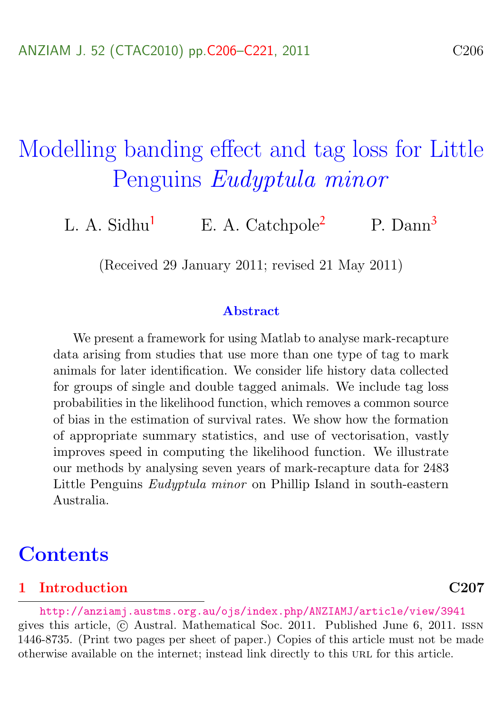# <span id="page-0-0"></span>Modelling banding effect and tag loss for Little Penguins Eudyptula minor

L. A. Sidhu<sup>[1](#page-14-0)</sup> E. A. Catchpole<sup>[2](#page-15-1)</sup> P. Dann<sup>[3](#page-15-0)</sup>

(Received 29 January 2011; revised 21 May 2011)

#### Abstract

We present a framework for using Matlab to analyse mark-recapture data arising from studies that use more than one type of tag to mark animals for later identification. We consider life history data collected for groups of single and double tagged animals. We include tag loss probabilities in the likelihood function, which removes a common source of bias in the estimation of survival rates. We show how the formation of appropriate summary statistics, and use of vectorisation, vastly improves speed in computing the likelihood function. We illustrate our methods by analysing seven years of mark-recapture data for 2483 Little Penguins Eudyptula minor on Phillip Island in south-eastern Australia.

### **Contents**

#### [1 Introduction](#page-1-0) C207

<http://anziamj.austms.org.au/ojs/index.php/ANZIAMJ/article/view/3941> gives this article, c Austral. Mathematical Soc. 2011. Published June 6, 2011. issn 1446-8735. (Print two pages per sheet of paper.) Copies of this article must not be made otherwise available on the internet; instead link directly to this url for this article.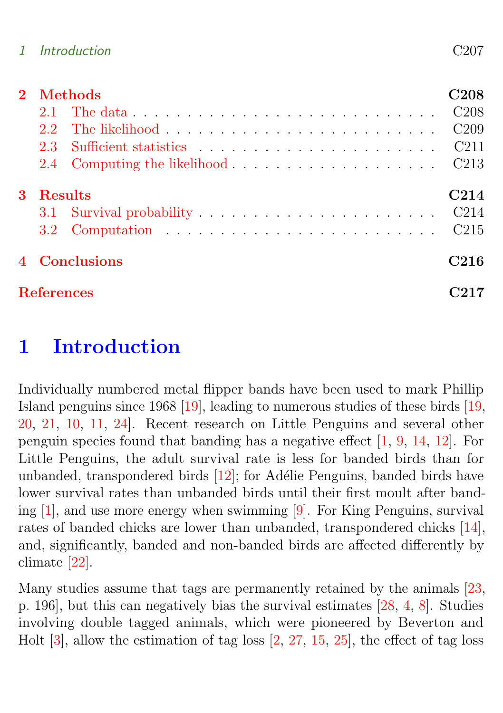<span id="page-1-1"></span>

| <b>Methods</b>    |  |                  |  |  |  |  |  |  |
|-------------------|--|------------------|--|--|--|--|--|--|
| $21-$             |  | C208             |  |  |  |  |  |  |
| $2.2^{\circ}$     |  | C209             |  |  |  |  |  |  |
| 2.3               |  | C <sub>211</sub> |  |  |  |  |  |  |
|                   |  |                  |  |  |  |  |  |  |
| <b>Results</b>    |  |                  |  |  |  |  |  |  |
|                   |  | C214             |  |  |  |  |  |  |
|                   |  | C215             |  |  |  |  |  |  |
| 4 Conclusions     |  |                  |  |  |  |  |  |  |
| <b>References</b> |  |                  |  |  |  |  |  |  |

# <span id="page-1-0"></span>1 Introduction

Individually numbered metal flipper bands have been used to mark Phillip Island penguins since 1968 [\[19\]](#page-13-0), leading to numerous studies of these birds [\[19,](#page-13-0) [20,](#page-13-1) [21,](#page-13-2) [10,](#page-12-0) [11,](#page-12-1) [24\]](#page-14-1). Recent research on Little Penguins and several other penguin species found that banding has a negative effect [\[1,](#page-11-1) [9,](#page-12-2) [14,](#page-12-3) [12\]](#page-12-4). For Little Penguins, the adult survival rate is less for banded birds than for unbanded, transpondered birds  $[12]$ ; for Adélie Penguins, banded birds have lower survival rates than unbanded birds until their first moult after banding [\[1\]](#page-11-1), and use more energy when swimming [\[9\]](#page-12-2). For King Penguins, survival rates of banded chicks are lower than unbanded, transpondered chicks [\[14\]](#page-12-3), and, significantly, banded and non-banded birds are affected differently by climate [\[22\]](#page-13-3).

Many studies assume that tags are permanently retained by the animals [\[23,](#page-14-2) p. 196], but this can negatively bias the survival estimates [\[28,](#page-14-3) [4,](#page-11-2) [8\]](#page-12-5). Studies involving double tagged animals, which were pioneered by Beverton and Holt [\[3\]](#page-11-3), allow the estimation of tag loss [\[2,](#page-11-4) [27,](#page-14-4) [15,](#page-13-4) [25\]](#page-14-5), the effect of tag loss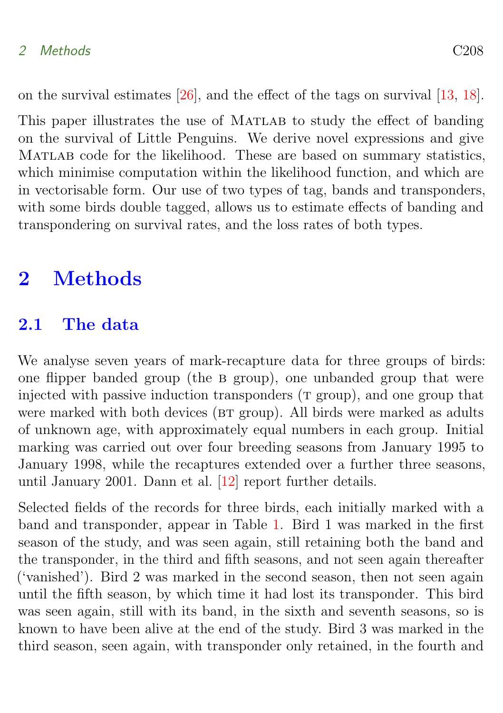#### <span id="page-2-2"></span>2 Methods C208

on the survival estimates [\[26\]](#page-14-6), and the effect of the tags on survival [\[13,](#page-12-6) [18\]](#page-13-5).

This paper illustrates the use of MATLAB to study the effect of banding on the survival of Little Penguins. We derive novel expressions and give Matlab code for the likelihood. These are based on summary statistics, which minimise computation within the likelihood function, and which are in vectorisable form. Our use of two types of tag, bands and transponders, with some birds double tagged, allows us to estimate effects of banding and transpondering on survival rates, and the loss rates of both types.

## <span id="page-2-0"></span>2 Methods

### <span id="page-2-1"></span>2.1 The data

We analyse seven years of mark-recapture data for three groups of birds: one flipper banded group (the b group), one unbanded group that were injected with passive induction transponders  $(T \text{ group})$ , and one group that were marked with both devices (BT group). All birds were marked as adults of unknown age, with approximately equal numbers in each group. Initial marking was carried out over four breeding seasons from January 1995 to January 1998, while the recaptures extended over a further three seasons, until January 2001. Dann et al. [\[12\]](#page-12-4) report further details.

Selected fields of the records for three birds, each initially marked with a band and transponder, appear in Table [1.](#page-3-1) Bird 1 was marked in the first season of the study, and was seen again, still retaining both the band and the transponder, in the third and fifth seasons, and not seen again thereafter ('vanished'). Bird 2 was marked in the second season, then not seen again until the fifth season, by which time it had lost its transponder. This bird was seen again, still with its band, in the sixth and seventh seasons, so is known to have been alive at the end of the study. Bird 3 was marked in the third season, seen again, with transponder only retained, in the fourth and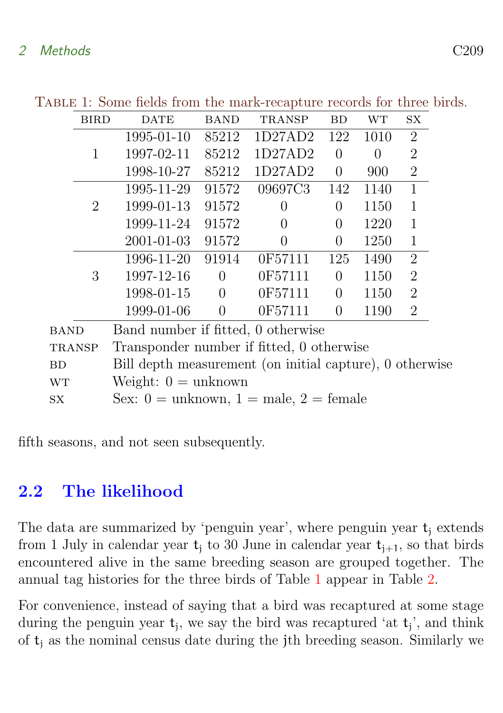<span id="page-3-1"></span>

|                                                   | BIRD           | <b>DATE</b>                                              | <b>BAND</b>    | <b>TRANSP</b> | BD             | WТ       | SX             |  |  |
|---------------------------------------------------|----------------|----------------------------------------------------------|----------------|---------------|----------------|----------|----------------|--|--|
|                                                   |                | 1995-01-10                                               | 85212          | 1D27AD2       | 122            | 1010     | $\overline{2}$ |  |  |
|                                                   | 1              | 1997-02-11                                               | 85212          | 1D27AD2       | 0              | $\theta$ | $\overline{2}$ |  |  |
|                                                   |                | 1998-10-27                                               | 85212          | 1D27AD2       | $\overline{0}$ | 900      | $\overline{2}$ |  |  |
|                                                   |                | 1995-11-29                                               | 91572          | 09697C3       | 142            | 1140     | $\mathbf 1$    |  |  |
|                                                   | $\overline{2}$ | 1999-01-13                                               | 91572          | $\Omega$      | $\Omega$       | 1150     | $\mathbf{1}$   |  |  |
|                                                   |                | 1999-11-24                                               | 91572          | $\theta$      | 0              | 1220     | 1              |  |  |
|                                                   |                | 2001-01-03                                               | 91572          | $\Omega$      | $\theta$       | 1250     | 1              |  |  |
|                                                   |                | 1996-11-20                                               | 91914          | 0F57111       | 125            | 1490     | $\overline{2}$ |  |  |
|                                                   | 3              | 1997-12-16                                               | $\overline{0}$ | 0F57111       | $\overline{0}$ | 1150     | $\overline{2}$ |  |  |
|                                                   |                | 1998-01-15                                               | $\overline{0}$ | 0F57111       | $\overline{0}$ | 1150     | $\overline{2}$ |  |  |
|                                                   |                | 1999-01-06                                               | $\overline{0}$ | 0F57111       | $\overline{0}$ | 1190     | $\overline{2}$ |  |  |
| Band number if fitted, 0 otherwise<br><b>BAND</b> |                |                                                          |                |               |                |          |                |  |  |
| <b>TRANSP</b>                                     |                | Transponder number if fitted, 0 otherwise                |                |               |                |          |                |  |  |
| DD.                                               |                | $\text{Bill donth measurement (on initial continuous) }$ |                |               |                |          |                |  |  |

Table 1: Some fields from the mark-recapture records for three birds.

BD Bill depth measurement (on initial capture), 0 otherwise wr Weight:  $0 =$  unknown

sx Sex:  $0 =$  unknown,  $1 =$  male,  $2 =$  female

fifth seasons, and not seen subsequently.

# <span id="page-3-0"></span>2.2 The likelihood

The data are summarized by 'penguin year', where penguin year  $t_i$  extends from 1 July in calendar year  $t_i$  to 30 June in calendar year  $t_{i+1}$ , so that birds encountered alive in the same breeding season are grouped together. The annual tag histories for the three birds of Table [1](#page-3-1) appear in Table [2.](#page-4-0)

For convenience, instead of saying that a bird was recaptured at some stage during the penguin year  $t_j$ , we say the bird was recaptured 'at  $t_j$ ', and think of  $t_i$  as the nominal census date during the jth breeding season. Similarly we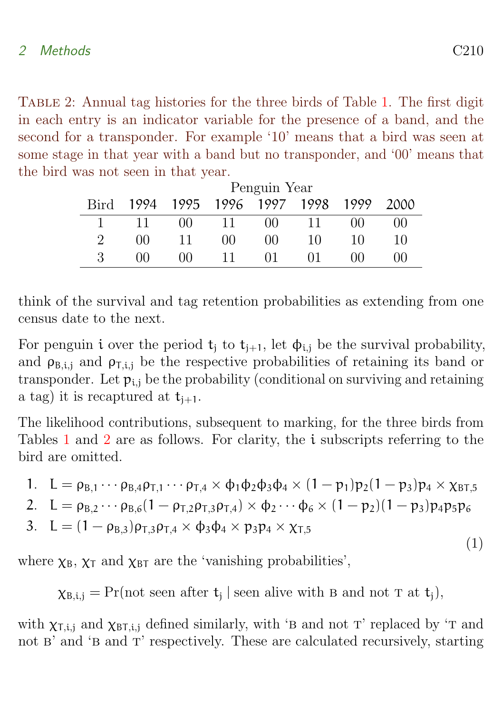<span id="page-4-0"></span>Table 2: Annual tag histories for the three birds of Table [1.](#page-3-1) The first digit in each entry is an indicator variable for the presence of a band, and the second for a transponder. For example '10' means that a bird was seen at some stage in that year with a band but no transponder, and '00' means that the bird was not seen in that year.

|      | Penguin Year |          |      |      |      |            |      |  |  |
|------|--------------|----------|------|------|------|------------|------|--|--|
| Bird | 1994         | 1995     | 1996 | 1997 | 1998 | 1999       | 2000 |  |  |
|      |              | $00 -$   | 11   | 00   |      | იი         | 00   |  |  |
| 2    | 00           | 11       | 00   | 00   | 10   | 10         | 10   |  |  |
| 3    | ΩÜ           | $($ $)($ |      | 01   | ΩŦ   | $($ i $()$ | 00   |  |  |

think of the survival and tag retention probabilities as extending from one census date to the next.

For penguin i over the period  $t_i$  to  $t_{i+1}$ , let  $\phi_{i,j}$  be the survival probability, and  $\rho_{\text{B,i,j}}$  and  $\rho_{\text{T,i,j}}$  be the respective probabilities of retaining its band or transponder. Let  $p_{i,j}$  be the probability (conditional on surviving and retaining a tag) it is recaptured at  $t_{i+1}$ .

The likelihood contributions, subsequent to marking, for the three birds from Tables [1](#page-3-1) and [2](#page-4-0) are as follows. For clarity, the i subscripts referring to the bird are omitted.

1. 
$$
L = \rho_{B,1} \cdots \rho_{B,4} \rho_{T,1} \cdots \rho_{T,4} \times \phi_1 \phi_2 \phi_3 \phi_4 \times (1 - p_1) p_2 (1 - p_3) p_4 \times \chi_{BT,5}
$$

<span id="page-4-1"></span>2. 
$$
L = \rho_{B,2} \cdots \rho_{B,6} (1 - \rho_{T,2} \rho_{T,3} \rho_{T,4}) \times \phi_2 \cdots \phi_6 \times (1 - p_2) (1 - p_3) p_4 p_5 p_6
$$

3. 
$$
L = (1 - \rho_{B,3})\rho_{T,3}\rho_{T,4} \times \phi_3\phi_4 \times p_3p_4 \times \chi_{T,5}
$$

where  $\chi_B$ ,  $\chi_T$  and  $\chi_{BT}$  are the 'vanishing probabilities',

 $\chi_{B,i,j} = \Pr(\text{not seen after } t_j \mid \text{seen alive with B and not T at } t_j),$ 

with  $\chi_{\text{Ti},i,j}$  and  $\chi_{\text{BT},i,j}$  defined similarly, with 'B and not T' replaced by 'T and not B' and 'B and T' respectively. These are calculated recursively, starting

(1)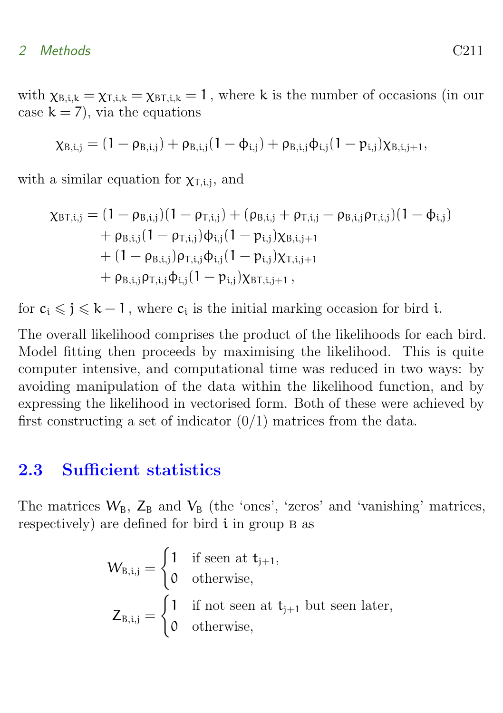#### 2 Methods C211

with  $\chi_{\text{B,i,k}} = \chi_{\text{T,i,k}} = \chi_{\text{BT,i,k}} = 1$ , where k is the number of occasions (in our case  $k = 7$ , via the equations

$$
\chi_{B,i,j} = (1 - \rho_{B,i,j}) + \rho_{B,i,j}(1 - \varphi_{i,j}) + \rho_{B,i,j}\varphi_{i,j}(1 - p_{i,j})\chi_{B,i,j+1},
$$

with a similar equation for  $\chi_{\text{T},i,j}$ , and

$$
\begin{aligned} \chi_{\text{BT},i,j} & = (1 - \rho_{\text{B},i,j})(1 - \rho_{\text{T},i,j}) + (\rho_{\text{B},i,j} + \rho_{\text{T},i,j} - \rho_{\text{B},i,j}\rho_{\text{T},i,j})(1 - \varphi_{i,j}) \\ & + \rho_{\text{B},i,j}(1 - \rho_{\text{T},i,j})\varphi_{i,j}(1 - p_{i,j})\chi_{\text{B},i,j+1} \\ & + (1 - \rho_{\text{B},i,j})\rho_{\text{T},i,j}\varphi_{i,j}(1 - p_{i,j})\chi_{\text{T},i,j+1} \\ & + \rho_{\text{B},i,j}\rho_{\text{T},i,j}\varphi_{i,j}(1 - p_{i,j})\chi_{\text{BT},i,j+1}\,, \end{aligned}
$$

for  $c_i \leqslant j \leqslant k-1$ , where  $c_i$  is the initial marking occasion for bird i.

The overall likelihood comprises the product of the likelihoods for each bird. Model fitting then proceeds by maximising the likelihood. This is quite computer intensive, and computational time was reduced in two ways: by avoiding manipulation of the data within the likelihood function, and by expressing the likelihood in vectorised form. Both of these were achieved by first constructing a set of indicator  $(0/1)$  matrices from the data.

### <span id="page-5-0"></span>2.3 Sufficient statistics

The matrices  $W_B$ ,  $Z_B$  and  $V_B$  (the 'ones', 'zeros' and 'vanishing' matrices, respectively) are defined for bird  $i$  in group  $B$  as

$$
\begin{aligned} W_{B,i,j} &= \begin{cases} 1 & \text{if seen at } t_{j+1}, \\ 0 & \text{otherwise}, \end{cases} \\ Z_{B,i,j} &= \begin{cases} 1 & \text{if not seen at } t_{j+1} \text{ but seen later,} \\ 0 & \text{otherwise}, \end{cases} \end{aligned}
$$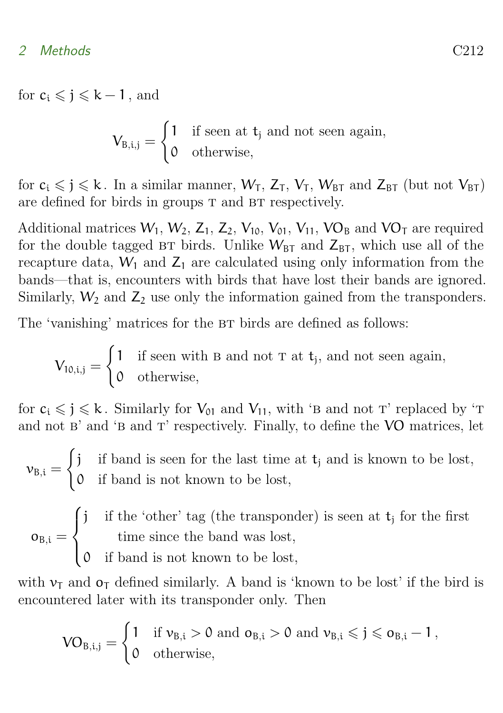for  $c_i \leqslant j \leqslant k-1$ , and

$$
V_{B,i,j} = \begin{cases} 1 & \text{if seen at } t_j \text{ and not seen again,} \\ 0 & \text{otherwise,} \end{cases}
$$

for  $c_i \leq j \leq k$ . In a similar manner,  $W_T$ ,  $Z_T$ ,  $V_T$ ,  $W_{BT}$  and  $Z_{BT}$  (but not  $V_{BT}$ ) are defined for birds in groups T and BT respectively.

Additional matrices  $W_1, W_2, Z_1, Z_2, V_{10}, V_{01}, V_{11}, VO_B$  and  $VO_T$  are required for the double tagged BT birds. Unlike  $W_{\text{BT}}$  and  $Z_{\text{BT}}$ , which use all of the recapture data,  $W_1$  and  $Z_1$  are calculated using only information from the bands—that is, encounters with birds that have lost their bands are ignored. Similarly,  $W_2$  and  $Z_2$  use only the information gained from the transponders.

The 'vanishing' matrices for the BT birds are defined as follows:

$$
V_{10,i,j} = \begin{cases} 1 & \text{if seen with B and not T at t}_j \text{, and not seen again,} \\ 0 & \text{otherwise,} \end{cases}
$$

for  $c_i \leq j \leq k$ . Similarly for  $V_{01}$  and  $V_{11}$ , with 'B and not T' replaced by 'T and not  $B'$  and 'B and  $T'$  respectively. Finally, to define the VO matrices, let

 $v_{B,i} =$  $\int j$  if band is seen for the last time at  $t_j$  and is known to be lost, 0 if band is not known to be lost,

$$
o_{B,i} = \begin{cases} j & \text{if the 'other' tag (the transporter) is seen at tj for the first time since the band was lost,} \\ 0 & \text{if band is not known to be lost,} \end{cases}
$$

with  $v_T$  and  $o_T$  defined similarly. A band is 'known to be lost' if the bird is encountered later with its transponder only. Then

$$
\text{VO}_{B,i,j} = \begin{cases} 1 & \text{if } \nu_{B,i} > 0 \text{ and } o_{B,i} > 0 \text{ and } \nu_{B,i} \leqslant j \leqslant o_{B,i}-1\,,\\ 0 & \text{otherwise}, \end{cases}
$$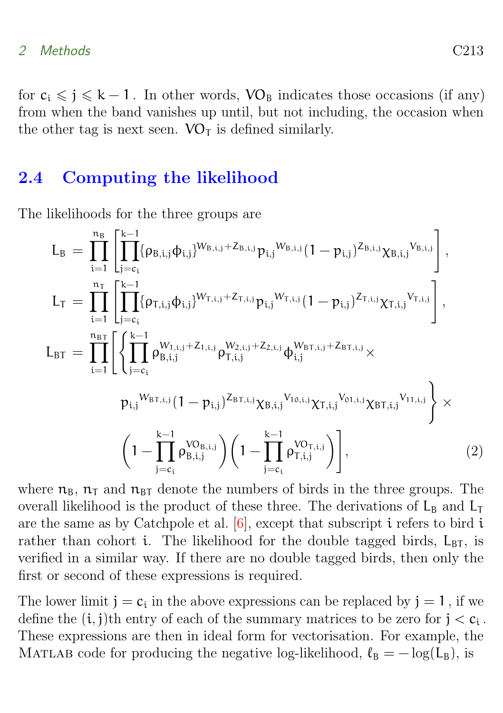#### <span id="page-7-1"></span>2 Methods C213

for  $c_i \leqslant j \leqslant k-1$ . In other words,  $\rm VO_B$  indicates those occasions (if any) from when the band vanishes up until, but not including, the occasion when the other tag is next seen.  $VO<sub>T</sub>$  is defined similarly.

### <span id="page-7-0"></span>2.4 Computing the likelihood

The likelihoods for the three groups are

$$
L_{B} = \prod_{i=1}^{n_{B}} \left[ \prod_{j=c_{i}}^{k-1} \{ \rho_{B,i,j} \psi_{i,j} \}^{W_{B,i,j} + Z_{B,i,j}} p_{i,j} W_{B,i,j} (1 - p_{i,j})^{Z_{B,i,j}} \chi_{B,i,j} V_{B,i,j} \right],
$$
  
\n
$$
L_{T} = \prod_{i=1}^{n_{T}} \left[ \prod_{j=c_{i}}^{k-1} \{ \rho_{T,i,j} \phi_{i,j} \}^{W_{T,i,j} + Z_{T,i,j}} p_{i,j} W_{T,i,j} (1 - p_{i,j})^{Z_{T,i,j}} \chi_{T,i,j} V_{T,i,j} \right],
$$
  
\n
$$
L_{BT} = \prod_{i=1}^{n_{BT}} \left[ \left\{ \prod_{j=c_{i}}^{k-1} \rho_{B,i,j}^{W_{1,i,j} + Z_{1,i,j}} \rho_{T,i,j}^{W_{2,i,j} + Z_{2,i,j}} \varphi_{i,j}^{W_{BT,i,j} + Z_{BT,i,j}} \right. \times
$$
  
\n
$$
p_{i,j}^{W_{BT,i,j}} (1 - p_{i,j})^{Z_{BT,i,j}} \chi_{B,i,j} V_{10,i,j} \chi_{T,i,j} V_{01,i,j} \chi_{BT,i,j} V_{11,i,j} \right\} \times
$$
  
\n
$$
\left( 1 - \prod_{j=c_{i}}^{k-1} \rho_{B,i,j}^{V_{0B,i,j}} \right) \left( 1 - \prod_{j=c_{i}}^{k-1} \rho_{T,i,j}^{V_{0T,i,j}} \right), \tag{2}
$$

where  $n_B$ ,  $n_T$  and  $n_{BT}$  denote the numbers of birds in the three groups. The overall likelihood is the product of these three. The derivations of  $L_B$  and  $L_T$ are the same as by Catchpole et al.  $[6]$ , except that subscript i refers to bird i rather than cohort i. The likelihood for the double tagged birds,  $L_{\text{BT}}$ , is verified in a similar way. If there are no double tagged birds, then only the first or second of these expressions is required.

The lower limit  $j = c_i$  in the above expressions can be replaced by  $j = 1$ , if we define the  $(i, j)$ <sup>th</sup> entry of each of the summary matrices to be zero for  $j < c_i$ . These expressions are then in ideal form for vectorisation. For example, the MATLAB code for producing the negative log-likelihood,  $\ell_B = -\log(L_B)$ , is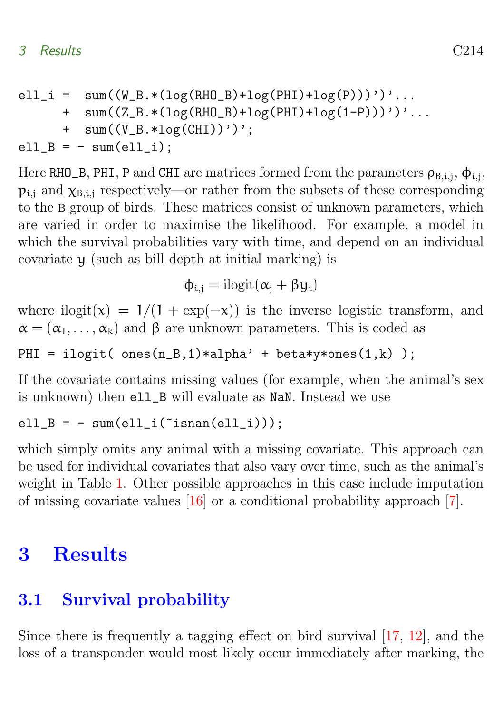<span id="page-8-2"></span>
$$
ell_i = sum((W_B.*(log(RHO_B)+log(PHI)+log(P))))');...+ sum((Z_B.*(log(RHO_B)+log(PHI)+log(1-P))))');...+ sum((V_B.*log(CHI))');ell_B = - sum(ell_i);
$$

Here RHO\_B, PHI, P and CHI are matrices formed from the parameters  $\rho_{B,i,j}$ ,  $\varphi_{i,j}$ ,  $p_{i,j}$  and  $\chi_{B,i,j}$  respectively—or rather from the subsets of these corresponding to the b group of birds. These matrices consist of unknown parameters, which are varied in order to maximise the likelihood. For example, a model in which the survival probabilities vary with time, and depend on an individual covariate y (such as bill depth at initial marking) is

$$
\varphi_{i,j} = i\mathrm{logit}(\alpha_j + \beta y_i)
$$

where ilogit(x) =  $1/(1 + \exp(-x))$  is the inverse logistic transform, and  $\alpha = (\alpha_1, \ldots, \alpha_k)$  and  $\beta$  are unknown parameters. This is coded as

PHI = ilogit(  $ones(n_B,1)*alpha' + beta*y*ones(1,k)$  );

If the covariate contains missing values (for example, when the animal's sex is unknown) then ell\_B will evaluate as NaN. Instead we use

ell  $B = - \text{sum}(ell i("isnan(ell_i)));$ 

which simply omits any animal with a missing covariate. This approach can be used for individual covariates that also vary over time, such as the animal's weight in Table [1.](#page-3-1) Other possible approaches in this case include imputation of missing covariate values [\[16\]](#page-13-6) or a conditional probability approach [\[7\]](#page-11-6).

## <span id="page-8-0"></span>3 Results

### <span id="page-8-1"></span>3.1 Survival probability

Since there is frequently a tagging effect on bird survival [\[17,](#page-13-7) [12\]](#page-12-4), and the loss of a transponder would most likely occur immediately after marking, the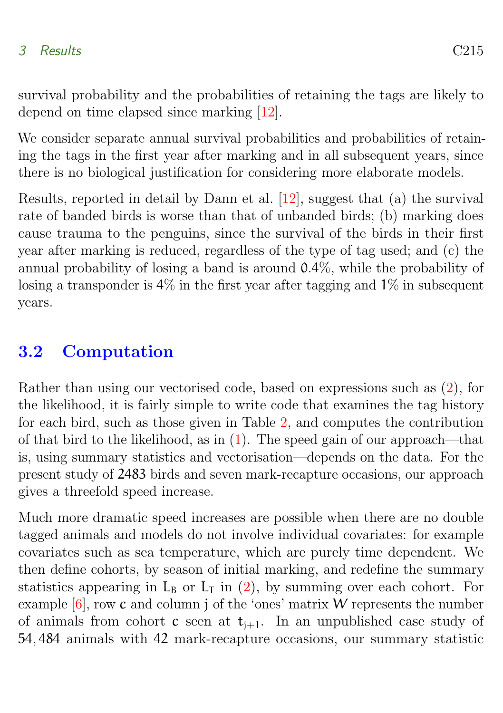### <span id="page-9-1"></span>3 Results C215

survival probability and the probabilities of retaining the tags are likely to depend on time elapsed since marking [\[12\]](#page-12-4).

We consider separate annual survival probabilities and probabilities of retaining the tags in the first year after marking and in all subsequent years, since there is no biological justification for considering more elaborate models.

Results, reported in detail by Dann et al. [\[12\]](#page-12-4), suggest that (a) the survival rate of banded birds is worse than that of unbanded birds; (b) marking does cause trauma to the penguins, since the survival of the birds in their first year after marking is reduced, regardless of the type of tag used; and (c) the annual probability of losing a band is around 0.4%, while the probability of losing a transponder is 4% in the first year after tagging and 1% in subsequent years.

### <span id="page-9-0"></span>3.2 Computation

Rather than using our vectorised code, based on expressions such as [\(2\)](#page-7-0), for the likelihood, it is fairly simple to write code that examines the tag history for each bird, such as those given in Table [2,](#page-4-0) and computes the contribution of that bird to the likelihood, as in [\(1\)](#page-4-1). The speed gain of our approach—that is, using summary statistics and vectorisation—depends on the data. For the present study of 2483 birds and seven mark-recapture occasions, our approach gives a threefold speed increase.

Much more dramatic speed increases are possible when there are no double tagged animals and models do not involve individual covariates: for example covariates such as sea temperature, which are purely time dependent. We then define cohorts, by season of initial marking, and redefine the summary statistics appearing in  $L_B$  or  $L_T$  in [\(2\)](#page-7-0), by summing over each cohort. For example  $[6]$ , row c and column j of the 'ones' matrix W represents the number of animals from cohort c seen at  $t_{i+1}$ . In an unpublished case study of 54, 484 animals with 42 mark-recapture occasions, our summary statistic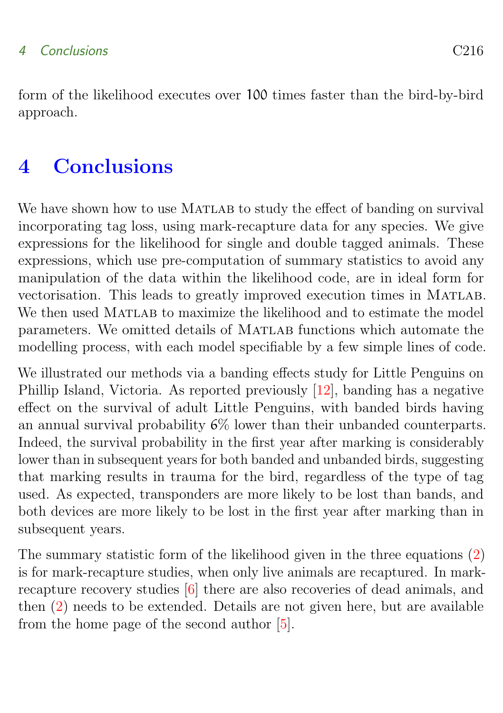<span id="page-10-1"></span>form of the likelihood executes over 100 times faster than the bird-by-bird approach.

# <span id="page-10-0"></span>4 Conclusions

We have shown how to use MATLAB to study the effect of banding on survival incorporating tag loss, using mark-recapture data for any species. We give expressions for the likelihood for single and double tagged animals. These expressions, which use pre-computation of summary statistics to avoid any manipulation of the data within the likelihood code, are in ideal form for vectorisation. This leads to greatly improved execution times in MATLAB. We then used MATLAB to maximize the likelihood and to estimate the model parameters. We omitted details of MATLAB functions which automate the modelling process, with each model specifiable by a few simple lines of code.

We illustrated our methods via a banding effects study for Little Penguins on Phillip Island, Victoria. As reported previously [\[12\]](#page-12-4), banding has a negative effect on the survival of adult Little Penguins, with banded birds having an annual survival probability  $6\%$  lower than their unbanded counterparts. Indeed, the survival probability in the first year after marking is considerably lower than in subsequent years for both banded and unbanded birds, suggesting that marking results in trauma for the bird, regardless of the type of tag used. As expected, transponders are more likely to be lost than bands, and both devices are more likely to be lost in the first year after marking than in subsequent years.

The summary statistic form of the likelihood given in the three equations [\(2\)](#page-7-0) is for mark-recapture studies, when only live animals are recaptured. In markrecapture recovery studies [\[6\]](#page-11-5) there are also recoveries of dead animals, and then [\(2\)](#page-7-0) needs to be extended. Details are not given here, but are available from the home page of the second author [\[5\]](#page-11-7).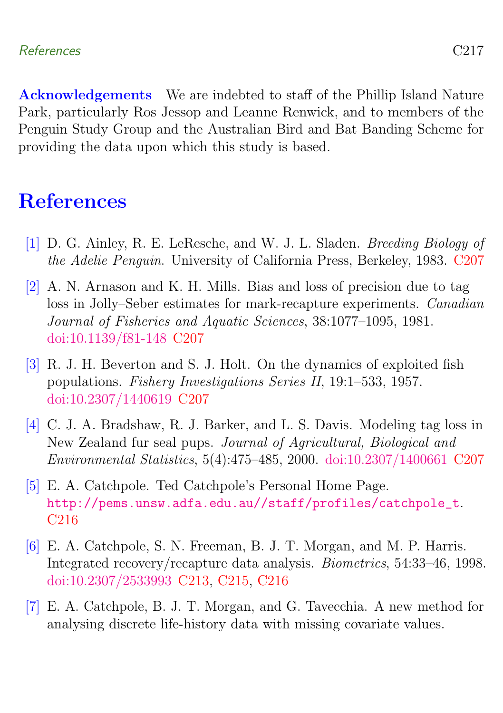Acknowledgements We are indebted to staff of the Phillip Island Nature Park, particularly Ros Jessop and Leanne Renwick, and to members of the Penguin Study Group and the Australian Bird and Bat Banding Scheme for providing the data upon which this study is based.

### <span id="page-11-0"></span>**References**

- <span id="page-11-1"></span>[1] D. G. Ainley, R. E. LeResche, and W. J. L. Sladen. Breeding Biology of the Adelie Penguin. University of California Press, Berkeley, 1983. [C207](#page-1-1)
- <span id="page-11-4"></span>[2] A. N. Arnason and K. H. Mills. Bias and loss of precision due to tag loss in Jolly–Seber estimates for mark-recapture experiments. Canadian Journal of Fisheries and Aquatic Sciences, 38:1077–1095, 1981. [doi:10.1139/f81-148](http://dx.doi.org/10.1139/f81-148) [C207](#page-1-1)
- <span id="page-11-3"></span>[3] R. J. H. Beverton and S. J. Holt. On the dynamics of exploited fish populations. Fishery Investigations Series II, 19:1–533, 1957. [doi:10.2307/1440619](http://dx.doi.org/10.2307/1440619) [C207](#page-1-1)
- <span id="page-11-2"></span>[4] C. J. A. Bradshaw, R. J. Barker, and L. S. Davis. Modeling tag loss in New Zealand fur seal pups. Journal of Agricultural, Biological and Environmental Statistics, 5(4):475–485, 2000. [doi:10.2307/1400661](http://dx.doi.org/10.2307/1400661) [C207](#page-1-1)
- <span id="page-11-7"></span>[5] E. A. Catchpole. Ted Catchpole's Personal Home Page. [http://pems.unsw.adfa.edu.au//staff/profiles/catchpole\\_t](http://pems.unsw.adfa.edu.au//staff/profiles/catchpole_t). [C216](#page-10-1)
- <span id="page-11-5"></span>[6] E. A. Catchpole, S. N. Freeman, B. J. T. Morgan, and M. P. Harris. Integrated recovery/recapture data analysis. Biometrics, 54:33–46, 1998. [doi:10.2307/2533993](http://dx.doi.org/10.2307/2533993) [C213,](#page-7-1) [C215,](#page-9-1) [C216](#page-10-1)
- <span id="page-11-6"></span>[7] E. A. Catchpole, B. J. T. Morgan, and G. Tavecchia. A new method for analysing discrete life-history data with missing covariate values.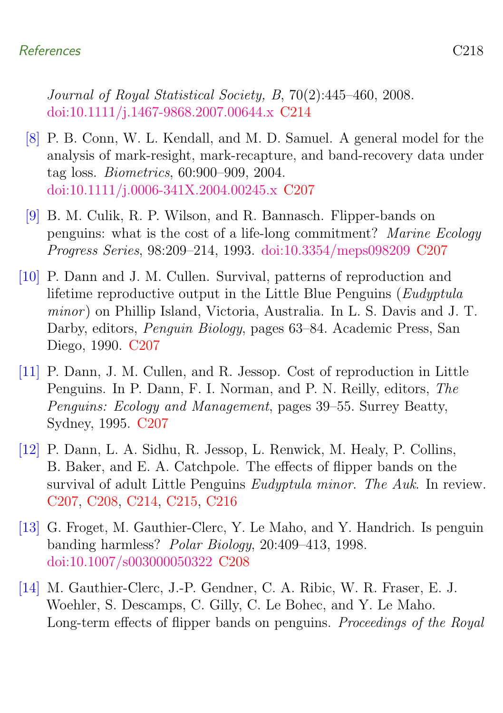Journal of Royal Statistical Society, B, 70(2):445–460, 2008. [doi:10.1111/j.1467-9868.2007.00644.x](http://dx.doi.org/10.1111/j.1467-9868.2007.00644.x) [C214](#page-8-2)

- <span id="page-12-5"></span>[8] P. B. Conn, W. L. Kendall, and M. D. Samuel. A general model for the analysis of mark-resight, mark-recapture, and band-recovery data under tag loss. Biometrics, 60:900–909, 2004. [doi:10.1111/j.0006-341X.2004.00245.x](http://dx.doi.org/10.1111/j.0006-341X.2004.00245.x) [C207](#page-1-1)
- <span id="page-12-2"></span>[9] B. M. Culik, R. P. Wilson, and R. Bannasch. Flipper-bands on penguins: what is the cost of a life-long commitment? Marine Ecology Progress Series, 98:209–214, 1993. [doi:10.3354/meps098209](http://dx.doi.org/10.3354/meps098209) [C207](#page-1-1)
- <span id="page-12-0"></span>[10] P. Dann and J. M. Cullen. Survival, patterns of reproduction and lifetime reproductive output in the Little Blue Penguins (Eudyptula minor) on Phillip Island, Victoria, Australia. In L. S. Davis and J. T. Darby, editors, Penguin Biology, pages 63–84. Academic Press, San Diego, 1990. [C207](#page-1-1)
- <span id="page-12-1"></span>[11] P. Dann, J. M. Cullen, and R. Jessop. Cost of reproduction in Little Penguins. In P. Dann, F. I. Norman, and P. N. Reilly, editors, The Penguins: Ecology and Management, pages 39–55. Surrey Beatty, Sydney, 1995. [C207](#page-1-1)
- <span id="page-12-4"></span>[12] P. Dann, L. A. Sidhu, R. Jessop, L. Renwick, M. Healy, P. Collins, B. Baker, and E. A. Catchpole. The effects of flipper bands on the survival of adult Little Penguins Eudyptula minor. The Auk. In review. [C207,](#page-1-1) [C208,](#page-2-2) [C214,](#page-8-2) [C215,](#page-9-1) [C216](#page-10-1)
- <span id="page-12-6"></span>[13] G. Froget, M. Gauthier-Clerc, Y. Le Maho, and Y. Handrich. Is penguin banding harmless? Polar Biology, 20:409–413, 1998. [doi:10.1007/s003000050322](http://dx.doi.org/10.1007/s003000050322) [C208](#page-2-2)
- <span id="page-12-3"></span>[14] M. Gauthier-Clerc, J.-P. Gendner, C. A. Ribic, W. R. Fraser, E. J. Woehler, S. Descamps, C. Gilly, C. Le Bohec, and Y. Le Maho. Long-term effects of flipper bands on penguins. Proceedings of the Royal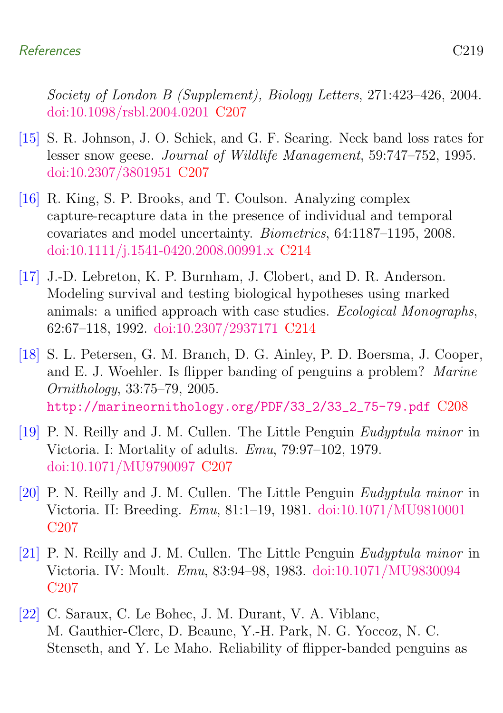Society of London B (Supplement), Biology Letters, 271:423–426, 2004. [doi:10.1098/rsbl.2004.0201](http://dx.doi.org/10.1098/rsbl.2004.0201) [C207](#page-1-1)

- <span id="page-13-4"></span>[15] S. R. Johnson, J. O. Schiek, and G. F. Searing. Neck band loss rates for lesser snow geese. Journal of Wildlife Management, 59:747–752, 1995. [doi:10.2307/3801951](http://dx.doi.org/10.2307/3801951) [C207](#page-1-1)
- <span id="page-13-6"></span>[16] R. King, S. P. Brooks, and T. Coulson. Analyzing complex capture-recapture data in the presence of individual and temporal covariates and model uncertainty. Biometrics, 64:1187–1195, 2008. [doi:10.1111/j.1541-0420.2008.00991.x](http://dx.doi.org/10.1111/j.1541-0420.2008.00991.x) [C214](#page-8-2)
- <span id="page-13-7"></span>[17] J.-D. Lebreton, K. P. Burnham, J. Clobert, and D. R. Anderson. Modeling survival and testing biological hypotheses using marked animals: a unified approach with case studies. Ecological Monographs, 62:67–118, 1992. [doi:10.2307/2937171](http://dx.doi.org/10.2307/2937171) [C214](#page-8-2)
- <span id="page-13-5"></span>[18] S. L. Petersen, G. M. Branch, D. G. Ainley, P. D. Boersma, J. Cooper, and E. J. Woehler. Is flipper banding of penguins a problem? Marine Ornithology, 33:75–79, 2005. [http://marineornithology.org/PDF/33\\_2/33\\_2\\_75-79.pdf](http://marineornithology.org/PDF/33_2/33_2_75-79.pdf) [C208](#page-2-2)
- <span id="page-13-0"></span>[19] P. N. Reilly and J. M. Cullen. The Little Penguin Eudyptula minor in Victoria. I: Mortality of adults. Emu, 79:97–102, 1979. [doi:10.1071/MU9790097](http://dx.doi.org/10.1071/MU9790097) [C207](#page-1-1)
- <span id="page-13-1"></span>[20] P. N. Reilly and J. M. Cullen. The Little Penguin Eudyptula minor in Victoria. II: Breeding. Emu, 81:1–19, 1981. [doi:10.1071/MU9810001](http://dx.doi.org/10.1071/MU9810001) C<sub>207</sub>
- <span id="page-13-2"></span>[21] P. N. Reilly and J. M. Cullen. The Little Penguin Eudyptula minor in Victoria. IV: Moult. Emu, 83:94–98, 1983. [doi:10.1071/MU9830094](http://dx.doi.org/10.1071/MU9830094) [C207](#page-1-1)
- <span id="page-13-3"></span>[22] C. Saraux, C. Le Bohec, J. M. Durant, V. A. Viblanc, M. Gauthier-Clerc, D. Beaune, Y.-H. Park, N. G. Yoccoz, N. C. Stenseth, and Y. Le Maho. Reliability of flipper-banded penguins as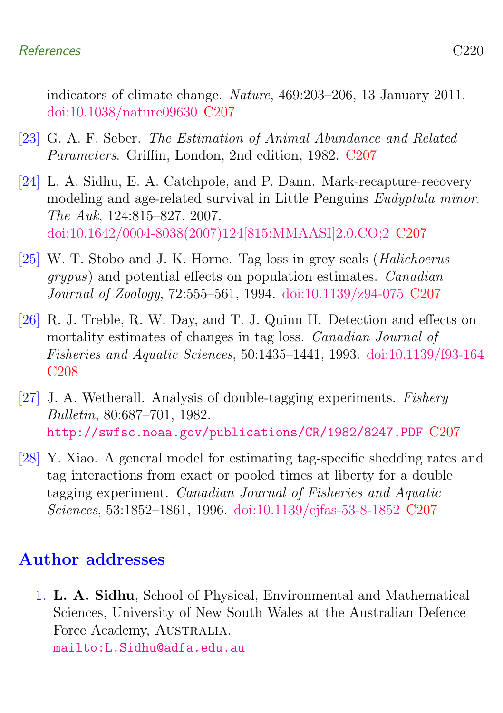indicators of climate change. Nature, 469:203–206, 13 January 2011. [doi:10.1038/nature09630](http://dx.doi.org/10.1038/nature09630) [C207](#page-1-1)

- <span id="page-14-2"></span>[23] G. A. F. Seber. The Estimation of Animal Abundance and Related Parameters. Griffin, London, 2nd edition, 1982. [C207](#page-1-1)
- <span id="page-14-1"></span>[24] L. A. Sidhu, E. A. Catchpole, and P. Dann. Mark-recapture-recovery modeling and age-related survival in Little Penguins Eudyptula minor. The Auk, 124:815–827, 2007. [doi:10.1642/0004-8038\(2007\)124\[815:MMAASI\]2.0.CO;2](http://dx.doi.org/10.1642/0004-8038(2007)124[815:MMAASI]2.0.CO;2) [C207](#page-1-1)
- <span id="page-14-5"></span>[25] W. T. Stobo and J. K. Horne. Tag loss in grey seals (Halichoerus grypus) and potential effects on population estimates. Canadian Journal of Zoology, 72:555–561, 1994. [doi:10.1139/z94-075](http://dx.doi.org/10.1139/z94-075) [C207](#page-1-1)
- <span id="page-14-6"></span>[26] R. J. Treble, R. W. Day, and T. J. Quinn II. Detection and effects on mortality estimates of changes in tag loss. Canadian Journal of Fisheries and Aquatic Sciences, 50:1435–1441, 1993. [doi:10.1139/f93-164](http://dx.doi.org/10.1139/f93-164) [C208](#page-2-2)
- <span id="page-14-4"></span>[27] J. A. Wetherall. Analysis of double-tagging experiments. Fishery Bulletin, 80:687–701, 1982. <http://swfsc.noaa.gov/publications/CR/1982/8247.PDF> [C207](#page-1-1)
- <span id="page-14-3"></span>[28] Y. Xiao. A general model for estimating tag-specific shedding rates and tag interactions from exact or pooled times at liberty for a double tagging experiment. Canadian Journal of Fisheries and Aquatic Sciences, 53:1852–1861, 1996. [doi:10.1139/cjfas-53-8-1852](http://dx.doi.org/10.1139/cjfas-53-8-1852) [C207](#page-1-1)

### Author addresses

<span id="page-14-0"></span>1. L. A. Sidhu, School of Physical, Environmental and Mathematical Sciences, University of New South Wales at the Australian Defence Force Academy, AUSTRALIA. <mailto:L.Sidhu@adfa.edu.au>